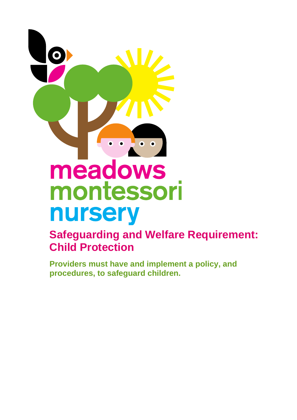

# **Safeguarding and Welfare Requirement: Child Protection**

**Providers must have and implement a policy, and procedures, to safeguard children.**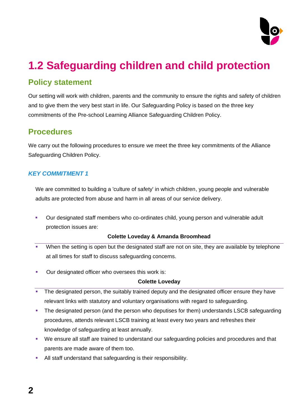

# **1.2 Safeguarding children and child protection**

# **Policy statement**

Our setting will work with children, parents and the community to ensure the rights and safety of children and to give them the very best start in life. Our Safeguarding Policy is based on the three key commitments of the Pre-school Learning Alliance Safeguarding Children Policy.

# **Procedures**

We carry out the following procedures to ensure we meet the three key commitments of the Alliance Safeguarding Children Policy.

# *KEY COMMITMENT 1*

We are committed to building a 'culture of safety' in which children, young people and vulnerable adults are protected from abuse and harm in all areas of our service delivery.

■ Our designated staff members who co-ordinates child, young person and vulnerable adult protection issues are:

#### **Colette Loveday & Amanda Broomhead**

- When the setting is open but the designated staff are not on site, they are available by telephone at all times for staff to discuss safeguarding concerns.
- Our designated officer who oversees this work is:

#### **Colette Loveday**

- The designated person, the suitably trained deputy and the designated officer ensure they have relevant links with statutory and voluntary organisations with regard to safeguarding.
- **The designated person (and the person who deputises for them) understands LSCB safeguarding** procedures, attends relevant LSCB training at least every two years and refreshes their knowledge of safeguarding at least annually.
- We ensure all staff are trained to understand our safeguarding policies and procedures and that parents are made aware of them too.
- All staff understand that safeguarding is their responsibility.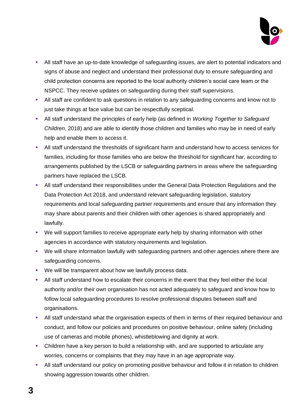

- All staff have an up-to-date knowledge of safeguarding issues, are alert to potential indicators and signs of abuse and neglect and understand their professional duty to ensure safeguarding and child protection concerns are reported to the local authority children's social care team or the NSPCC. They receive updates on safeguarding during their staff supervisions.
- **EXECT** All staff are confident to ask questions in relation to any safeguarding concerns and know not to just take things at face value but can be respectfully sceptical.
- All staff understand the principles of early help (as defined in *Working Together to Safeguard Children*, 2018) and are able to identify those children and families who may be in need of early help and enable them to access it.
- All staff understand the thresholds of significant harm and understand how to access services for families, including for those families who are below the threshold for significant har, according to arrangements published by the LSCB or safeguarding partners in areas where the safeguarding partners have replaced the LSCB.
- All staff understand their responsibilities under the General Data Protection Regulations and the Data Protection Act 2018, and understand relevant safeguarding legislation, statutory requirements and local safeguarding partner requirements and ensure that any information they may share about parents and their children with other agencies is shared appropriately and lawfully.
- We will support families to receive appropriate early help by sharing information with other agencies in accordance with statutory requirements and legislation.
- We will share information lawfully with safeguarding partners and other agencies where there are safeguarding concerns.
- We will be transparent about how we lawfully process data.
- **EXECT All staff understand how to escalate their concerns in the event that they feel either the local** authority and/or their own organisation has not acted adequately to safeguard and know how to follow local safeguarding procedures to resolve professional disputes between staff and organisations.
- **EXTEND 1** All staff understand what the organisation expects of them in terms of their required behaviour and conduct, and follow our policies and procedures on positive behaviour, online safety (including use of cameras and mobile phones), whistleblowing and dignity at work.
- Children have a key person to build a relationship with, and are supported to articulate any worries, concerns or complaints that they may have in an age appropriate way.
- All staff understand our policy on promoting positive behaviour and follow it in relation to children showing aggression towards other children.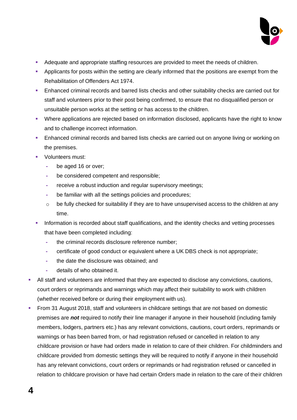

- Adequate and appropriate staffing resources are provided to meet the needs of children.
- **•** Applicants for posts within the setting are clearly informed that the positions are exempt from the Rehabilitation of Offenders Act 1974.
- **Enhanced criminal records and barred lists checks and other suitability checks are carried out for** staff and volunteers prior to their post being confirmed, to ensure that no disqualified person or unsuitable person works at the setting or has access to the children.
- Where applications are rejected based on information disclosed, applicants have the right to know and to challenge incorrect information.
- **Enhanced criminal records and barred lists checks are carried out on anyone living or working on** the premises.
- Volunteers must:
	- **-** be aged 16 or over;
	- **-** be considered competent and responsible;
	- **-** receive a robust induction and regular supervisory meetings;
	- **-** be familiar with all the settings policies and procedures;
	- o be fully checked for suitability if they are to have unsupervised access to the children at any time.
- Information is recorded about staff qualifications, and the identity checks and vetting processes that have been completed including:
	- **-** the criminal records disclosure reference number;
	- **-** certificate of good conduct or equivalent where a UK DBS check is not appropriate;
	- **-** the date the disclosure was obtained; and
	- **-** details of who obtained it.
- All staff and volunteers are informed that they are expected to disclose any convictions, cautions, court orders or reprimands and warnings which may affect their suitability to work with children (whether received before or during their employment with us).
- From 31 August 2018, staff and volunteers in childcare settings that are not based on domestic premises are *not* required to notify their line manager if anyone in their household (including family members, lodgers, partners etc.) has any relevant convictions, cautions, court orders, reprimands or warnings or has been barred from, or had registration refused or cancelled in relation to any childcare provision or have had orders made in relation to care of their children. For childminders and childcare provided from domestic settings they will be required to notify if anyone in their household has any relevant convictions, court orders or reprimands or had registration refused or cancelled in relation to childcare provision or have had certain Orders made in relation to the care of their children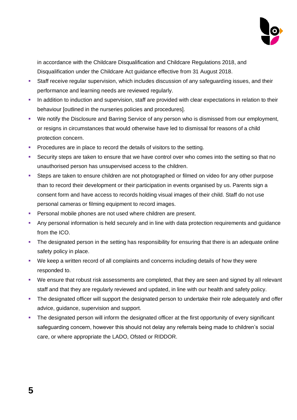

in accordance with the Childcare Disqualification and Childcare Regulations 2018, and Disqualification under the Childcare Act guidance effective from 31 August 2018.

- **EXECT** Staff receive regular supervision, which includes discussion of any safeguarding issues, and their performance and learning needs are reviewed regularly.
- **•** In addition to induction and supervision, staff are provided with clear expectations in relation to their behaviour [outlined in the nurseries policies and procedures].
- We notify the Disclosure and Barring Service of any person who is dismissed from our employment, or resigns in circumstances that would otherwise have led to dismissal for reasons of a child protection concern.
- **Procedures are in place to record the details of visitors to the setting.**
- **EXECUTE SECUTE SECUTE:** Security steps are taken to ensure that we have control over who comes into the setting so that no unauthorised person has unsupervised access to the children.
- **EXECTS** Steps are taken to ensure children are not photographed or filmed on video for any other purpose than to record their development or their participation in events organised by us. Parents sign a consent form and have access to records holding visual images of their child. Staff do not use personal cameras or filming equipment to record images.
- **Personal mobile phones are not used where children are present.**
- **•** Any personal information is held securely and in line with data protection requirements and guidance from the ICO.
- **•** The designated person in the setting has responsibility for ensuring that there is an adequate online safety policy in place.
- We keep a written record of all complaints and concerns including details of how they were responded to.
- We ensure that robust risk assessments are completed, that they are seen and signed by all relevant staff and that they are regularly reviewed and updated, in line with our health and safety policy.
- **•** The designated officer will support the designated person to undertake their role adequately and offer advice, guidance, supervision and support.
- **•** The designated person will inform the designated officer at the first opportunity of every significant safeguarding concern, however this should not delay any referrals being made to children's social care, or where appropriate the LADO, Ofsted or RIDDOR.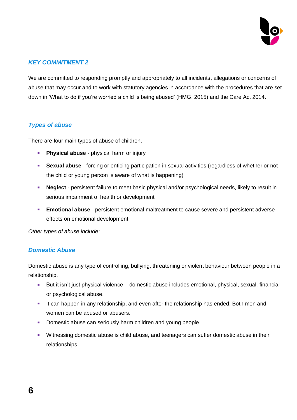

#### *KEY COMMITMENT 2*

We are committed to responding promptly and appropriately to all incidents, allegations or concerns of abuse that may occur and to work with statutory agencies in accordance with the procedures that are set down in 'What to do if you're worried a child is being abused' (HMG, 2015) and the Care Act 2014.

#### *Types of abuse*

There are four main types of abuse of children.

- **Physical abuse** physical harm or injury
- **EXUAL ADUSE** forcing or enticing participation in sexual activities (regardless of whether or not the child or young person is aware of what is happening)
- **EXEDECT** persistent failure to meet basic physical and/or psychological needs, likely to result in serious impairment of health or development
- **Emotional abuse** persistent emotional maltreatment to cause severe and persistent adverse effects on emotional development.

*Other types of abuse include:*

#### *Domestic Abuse*

Domestic abuse is any type of controlling, bullying, threatening or violent behaviour between people in a relationship.

- But it isn't just physical violence domestic abuse includes emotional, physical, sexual, financial or psychological abuse.
- It can happen in any relationship, and even after the relationship has ended. Both men and women can be abused or abusers.
- Domestic abuse can seriously harm children and young people.
- **EXECT** Witnessing domestic abuse is child abuse, and teenagers can suffer domestic abuse in their relationships.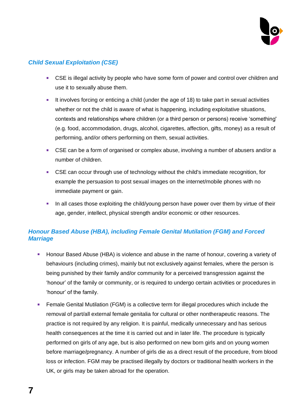

### *Child Sexual Exploitation (CSE)*

- CSE is illegal activity by people who have some form of power and control over children and use it to sexually abuse them.
- **EXECT** It involves forcing or enticing a child (under the age of 18) to take part in sexual activities whether or not the child is aware of what is happening, including exploitative situations, contexts and relationships where children (or a third person or persons) receive 'something' (e.g. food, accommodation, drugs, alcohol, cigarettes, affection, gifts, money) as a result of performing, and/or others performing on them, sexual activities.
- CSE can be a form of organised or complex abuse, involving a number of abusers and/or a number of children.
- CSE can occur through use of technology without the child's immediate recognition, for example the persuasion to post sexual images on the internet/mobile phones with no immediate payment or gain.
- **.** In all cases those exploiting the child/young person have power over them by virtue of their age, gender, intellect, physical strength and/or economic or other resources.

#### *Honour Based Abuse (HBA), including Female Genital Mutilation (FGM) and Forced Marriage*

- **E** Honour Based Abuse (HBA) is violence and abuse in the name of honour, covering a variety of behaviours (including crimes), mainly but not exclusively against females, where the person is being punished by their family and/or community for a perceived transgression against the 'honour' of the family or community, or is required to undergo certain activities or procedures in 'honour' of the family.
- Female Genital Mutilation (FGM) is a collective term for illegal procedures which include the removal of part/all external female genitalia for cultural or other nontherapeutic reasons. The practice is not required by any religion. It is painful, medically unnecessary and has serious health consequences at the time it is carried out and in later life. The procedure is typically performed on girls of any age, but is also performed on new born girls and on young women before marriage/pregnancy. A number of girls die as a direct result of the procedure, from blood loss or infection. FGM may be practised illegally by doctors or traditional health workers in the UK, or girls may be taken abroad for the operation.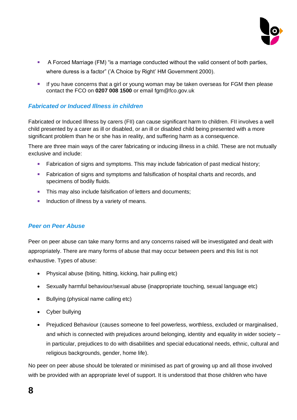

- A Forced Marriage (FM) "is a marriage conducted without the valid consent of both parties, where duress is a factor" ('A Choice by Right' HM Government 2000).
- **■** If you have concerns that a girl or young woman may be taken overseas for FGM then please contact the FCO on **0207 008 1500** or email [fgm@fco.gov.uk](mailto:fgm@fco.gov.uk)

#### *Fabricated or Induced Illness in children*

Fabricated or Induced Illness by carers (FII) can cause significant harm to children. FII involves a well child presented by a carer as ill or disabled, or an ill or disabled child being presented with a more significant problem than he or she has in reality, and suffering harm as a consequence.

There are three main ways of the carer fabricating or inducing illness in a child. These are not mutually exclusive and include:

- Fabrication of signs and symptoms. This may include fabrication of past medical history;
- Fabrication of signs and symptoms and falsification of hospital charts and records, and specimens of bodily fluids.
- **EXECT** This may also include falsification of letters and documents;
- **EXECUTE:** Induction of illness by a variety of means.

#### *Peer on Peer Abuse*

Peer on peer abuse can take many forms and any concerns raised will be investigated and dealt with appropriately. There are many forms of abuse that may occur between peers and this list is not exhaustive. Types of abuse:

- Physical abuse (biting, hitting, kicking, hair pulling etc)
- Sexually harmful behaviour/sexual abuse (inappropriate touching, sexual language etc)
- Bullying (physical name calling etc)
- Cyber bullying
- Prejudiced Behaviour (causes someone to feel powerless, worthless, excluded or marginalised, and which is connected with prejudices around belonging, identity and equality in wider society – in particular, prejudices to do with disabilities and special educational needs, ethnic, cultural and religious backgrounds, gender, home life).

No peer on peer abuse should be tolerated or minimised as part of growing up and all those involved with be provided with an appropriate level of support. It is understood that those children who have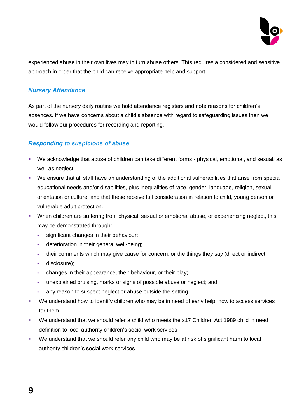

experienced abuse in their own lives may in turn abuse others. This requires a considered and sensitive approach in order that the child can receive appropriate help and support**.**

#### *Nursery Attendance*

As part of the nursery daily routine we hold attendance registers and note reasons for children's absences. If we have concerns about a child's absence with regard to safeguarding issues then we would follow our procedures for recording and reporting.

#### *Responding to suspicions of abuse*

- We acknowledge that abuse of children can take different forms physical, emotional, and sexual, as well as neglect.
- We ensure that all staff have an understanding of the additional vulnerabilities that arise from special educational needs and/or disabilities, plus inequalities of race, gender, language, religion, sexual orientation or culture, and that these receive full consideration in relation to child, young person or vulnerable adult protection.
- **•** When children are suffering from physical, sexual or emotional abuse, or experiencing neglect, this may be demonstrated through:
	- **-** significant changes in their behaviour;
	- **-** deterioration in their general well-being;
	- **-** their comments which may give cause for concern, or the things they say (direct or indirect
	- **-** disclosure);
	- **-** changes in their appearance, their behaviour, or their play;
	- **-** unexplained bruising, marks or signs of possible abuse or neglect; and
	- **-** any reason to suspect neglect or abuse outside the setting.
- We understand how to identify children who may be in need of early help, how to access services for them
- We understand that we should refer a child who meets the s17 Children Act 1989 child in need definition to local authority children's social work services
- We understand that we should refer any child who may be at risk of significant harm to local authority children's social work services.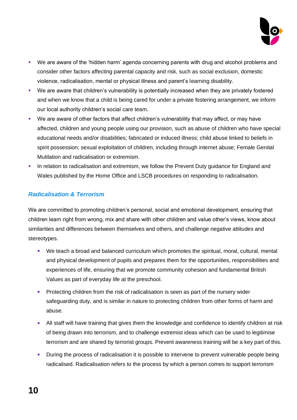

- We are aware of the 'hidden harm' agenda concerning parents with drug and alcohol problems and consider other factors affecting parental capacity and risk, such as social exclusion, domestic violence, radicalisation, mental or physical illness and parent's learning disability.
- We are aware that children's vulnerability is potentially increased when they are privately fostered and when we know that a child is being cared for under a private fostering arrangement, we inform our local authority children's social care team.
- We are aware of other factors that affect children's vulnerability that may affect, or may have affected, children and young people using our provision, such as abuse of children who have special educational needs and/or disabilities; fabricated or induced illness; child abuse linked to beliefs in spirit possession; sexual exploitation of children, including through internet abuse; Female Genital Mutilation and radicalisation or extremism.
- **.** In relation to radicalisation and extremism, we follow the Prevent Duty guidance for England and Wales published by the Home Office and LSCB procedures on responding to radicalisation.

#### *Radicalisation & Terrorism*

We are committed to promoting children's personal, social and emotional development, ensuring that children learn right from wrong, mix and share with other children and value other's views, know about similarities and differences between themselves and others, and challenge negative attitudes and stereotypes.

- We teach a broad and balanced curriculum which promotes the spiritual, moral, cultural, mental and physical development of pupils and prepares them for the opportunities, responsibilities and experiences of life, ensuring that we promote community cohesion and fundamental British Values as part of everyday life at the preschool.
- **•** Protecting children from the risk of radicalisation is seen as part of the nursery wider safeguarding duty, and is similar in nature to protecting children from other forms of harm and abuse.
- **E** All staff will have training that gives them the knowledge and confidence to identify children at risk of being drawn into terrorism, and to challenge extremist ideas which can be used to legitimise terrorism and are shared by terrorist groups. Prevent awareness training will be a key part of this.
- **•** During the process of radicalisation it is possible to intervene to prevent vulnerable people being radicalised. Radicalisation refers to the process by which a person comes to support terrorism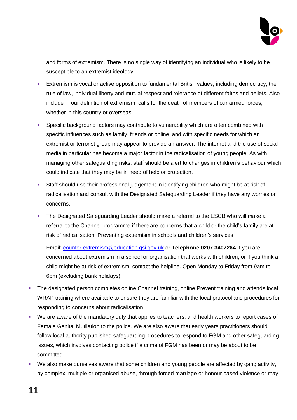

and forms of extremism. There is no single way of identifying an individual who is likely to be susceptible to an extremist ideology.

- Extremism is vocal or active opposition to fundamental British values, including democracy, the rule of law, individual liberty and mutual respect and tolerance of different faiths and beliefs. Also include in our definition of extremism; calls for the death of members of our armed forces, whether in this country or overseas.
- Specific background factors may contribute to vulnerability which are often combined with specific influences such as family, friends or online, and with specific needs for which an extremist or terrorist group may appear to provide an answer. The internet and the use of social media in particular has become a major factor in the radicalisation of young people. As with managing other safeguarding risks, staff should be alert to changes in children's behaviour which could indicate that they may be in need of help or protection.
- Staff should use their professional judgement in identifying children who might be at risk of radicalisation and consult with the Designated Safeguarding Leader if they have any worries or concerns.
- The Designated Safeguarding Leader should make a referral to the ESCB who will make a referral to the Channel programme if there are concerns that a child or the child's family are at risk of radicalisation. Preventing extremism in schools and children's services

Email: [counter.extremism@education.gsi.gov.uk](mailto:counter.extremism@education.gsi.gov.uk) or **Telephone 0207 3407264** If you are concerned about extremism in a school or organisation that works with children, or if you think a child might be at risk of extremism, contact the helpline. Open Monday to Friday from 9am to 6pm (excluding bank holidays).

- **The designated person completes online Channel training, online Prevent training and attends local** WRAP training where available to ensure they are familiar with the local protocol and procedures for responding to concerns about radicalisation.
- We are aware of the mandatory duty that applies to teachers, and health workers to report cases of Female Genital Mutilation to the police. We are also aware that early years practitioners should follow local authority published safeguarding procedures to respond to FGM and other safeguarding issues, which involves contacting police if a crime of FGM has been or may be about to be committed.
- We also make ourselves aware that some children and young people are affected by gang activity, by complex, multiple or organised abuse, through forced marriage or honour based violence or may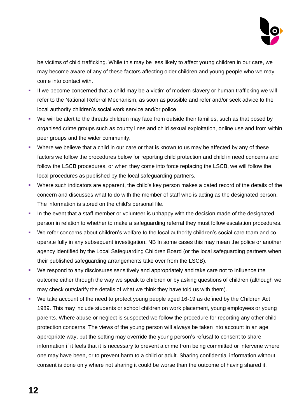

be victims of child trafficking. While this may be less likely to affect young children in our care, we may become aware of any of these factors affecting older children and young people who we may come into contact with.

- **.** If we become concerned that a child may be a victim of modern slavery or human trafficking we will refer to the National Referral Mechanism, as soon as possible and refer and/or seek advice to the local authority children's social work service and/or police.
- We will be alert to the threats children may face from outside their families, such as that posed by organised crime groups such as county lines and child sexual exploitation, online use and from within peer groups and the wider community.
- Where we believe that a child in our care or that is known to us may be affected by any of these factors we follow the procedures below for reporting child protection and child in need concerns and follow the LSCB procedures, or when they come into force replacing the LSCB, we will follow the local procedures as published by the local safeguarding partners.
- Where such indicators are apparent, the child's key person makes a dated record of the details of the concern and discusses what to do with the member of staff who is acting as the designated person. The information is stored on the child's personal file.
- **•** In the event that a staff member or volunteer is unhappy with the decision made of the designated person in relation to whether to make a safeguarding referral they must follow escalation procedures.
- We refer concerns about children's welfare to the local authority children's social care team and cooperate fully in any subsequent investigation. NB In some cases this may mean the police or another agency identified by the Local Safeguarding Children Board (or the local safeguarding partners when their published safeguarding arrangements take over from the LSCB).
- We respond to any disclosures sensitively and appropriately and take care not to influence the outcome either through the way we speak to children or by asking questions of children (although we may check out/clarify the details of what we think they have told us with them).
- We take account of the need to protect young people aged 16-19 as defined by the Children Act 1989. This may include students or school children on work placement, young employees or young parents. Where abuse or neglect is suspected we follow the procedure for reporting any other child protection concerns. The views of the young person will always be taken into account in an age appropriate way, but the setting may override the young person's refusal to consent to share information if it feels that it is necessary to prevent a crime from being committed or intervene where one may have been, or to prevent harm to a child or adult. Sharing confidential information without consent is done only where not sharing it could be worse than the outcome of having shared it.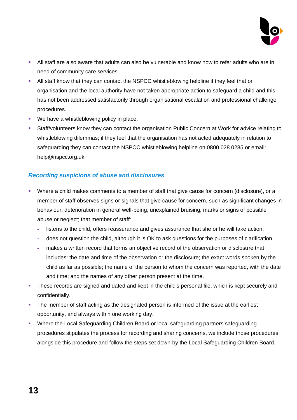

- **EXT All staff are also aware that adults can also be vulnerable and know how to refer adults who are in** need of community care services.
- All staff know that they can contact the NSPCC whistleblowing helpline if they feel that or organisation and the local authority have not taken appropriate action to safeguard a child and this has not been addressed satisfactorily through organisational escalation and professional challenge procedures.
- We have a whistleblowing policy in place.
- **•** Staff/volunteers know they can contact the organisation Public Concern at Work for advice relating to whistleblowing dilemmas; if they feel that the organisation has not acted adequately in relation to safeguarding they can contact the NSPCC whistleblowing helpline on 0800 028 0285 or email: help@nspcc.org.uk

# *Recording suspicions of abuse and disclosures*

- Where a child makes comments to a member of staff that give cause for concern (disclosure), or a member of staff observes signs or signals that give cause for concern, such as significant changes in behaviour; deterioration in general well-being; unexplained bruising, marks or signs of possible abuse or neglect; that member of staff:
	- **-** listens to the child, offers reassurance and gives assurance that she or he will take action;
	- **-** does not question the child, although it is OK to ask questions for the purposes of clarification;
	- **-** makes a written record that forms an objective record of the observation or disclosure that includes: the date and time of the observation or the disclosure; the exact words spoken by the child as far as possible; the name of the person to whom the concern was reported, with the date and time; and the names of any other person present at the time.
- **•** These records are signed and dated and kept in the child's personal file, which is kept securely and confidentially.
- **•** The member of staff acting as the designated person is informed of the issue at the earliest opportunity, and always within one working day.
- Where the Local Safeguarding Children Board or local safeguarding partners safeguarding procedures stipulates the process for recording and sharing concerns, we include those procedures alongside this procedure and follow the steps set down by the Local Safeguarding Children Board.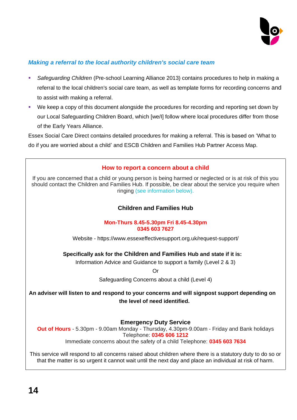

### *Making a referral to the local authority children's social care team*

- *Safeguarding Children* (Pre-school Learning Alliance 2013) contains procedures to help in making a referral to the local children's social care team, as well as template forms for recording concerns and to assist with making a referral.
- We keep a copy of this document alongside the procedures for recording and reporting set down by our Local Safeguarding Children Board, which [we/I] follow where local procedures differ from those of the Early Years Alliance.

Essex Social Care Direct contains detailed procedures for making a referral. This is based on 'What to do if you are worried about a child' and ESCB Children and Families Hub Partner Access Map.

#### **How to report a concern about a child**

If you are concerned that a child or young person is being harmed or neglected or is at risk of this you should contact the Children and Families Hub. If possible, be clear about the service you require when ringing [\(see information below\).](http://www.escb.co.uk/en-gb/workingwithchildren/concernsaboutthewelfareofachild.aspx#FOH process)

#### **Children and Families Hub**

#### **Mon-Thurs 8.45-5.30pm Fri 8.45-4.30pm 0345 603 7627**

Website - https://www.essexeffectivesupport.org.uk/request-support/

#### **Specifically ask for the Children and Families Hub and state if it is:**

Information Advice and Guidance to support a family (Level 2 & 3)

Or

Safeguarding Concerns about a child (Level 4)

**An adviser will listen to and respond to your concerns and will signpost support depending on the level of need identified.**

**Emergency Duty Service** 

**Out of Hours** - 5.30pm - 9.00am Monday - Thursday, 4.30pm-9.00am - Friday and Bank holidays Telephone: **0345 606 1212** Immediate concerns about the safety of a child Telephone: **0345 603 7634**

This service will respond to all concerns raised about children where there is a statutory duty to do so or that the matter is so urgent it cannot wait until the next day and place an individual at risk of harm.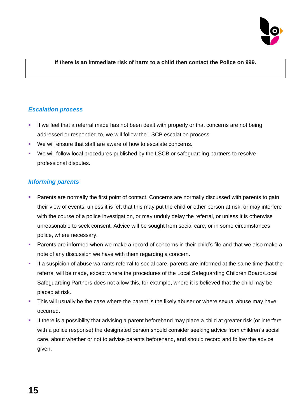

#### **If there is an immediate risk of harm to a child then contact the Police on 999.**

#### *Escalation process*

- **.** If we feel that a referral made has not been dealt with properly or that concerns are not being addressed or responded to, we will follow the LSCB escalation process.
- We will ensure that staff are aware of how to escalate concerns.
- We will follow local procedures published by the LSCB or safeguarding partners to resolve professional disputes.

#### *Informing parents*

- **Parents are normally the first point of contact. Concerns are normally discussed with parents to gain** their view of events, unless it is felt that this may put the child or other person at risk, or may interfere with the course of a police investigation, or may unduly delay the referral, or unless it is otherwise unreasonable to seek consent. Advice will be sought from social care, or in some circumstances police, where necessary.
- Parents are informed when we make a record of concerns in their child's file and that we also make a note of any discussion we have with them regarding a concern.
- **EXTE:** If a suspicion of abuse warrants referral to social care, parents are informed at the same time that the referral will be made, except where the procedures of the Local Safeguarding Children Board/Local Safeguarding Partners does not allow this, for example, where it is believed that the child may be placed at risk.
- **.** This will usually be the case where the parent is the likely abuser or where sexual abuse may have occurred.
- If there is a possibility that advising a parent beforehand may place a child at greater risk (or interfere with a police response) the designated person should consider seeking advice from children's social care, about whether or not to advise parents beforehand, and should record and follow the advice given.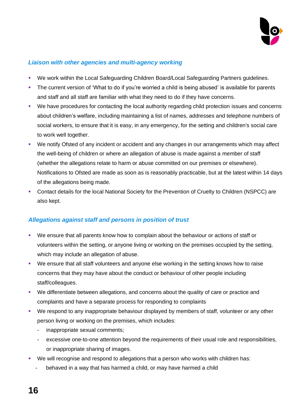

#### *Liaison with other agencies and multi-agency working*

- We work within the Local Safeguarding Children Board/Local Safeguarding Partners guidelines.
- The current version of 'What to do if you're worried a child is being abused' is available for parents and staff and all staff are familiar with what they need to do if they have concerns.
- We have procedures for contacting the local authority regarding child protection issues and concerns about children's welfare, including maintaining a list of names, addresses and telephone numbers of social workers, to ensure that it is easy, in any emergency, for the setting and children's social care to work well together.
- We notify Ofsted of any incident or accident and any changes in our arrangements which may affect the well-being of children or where an allegation of abuse is made against a member of staff (whether the allegations relate to harm or abuse committed on our premises or elsewhere). Notifications to Ofsted are made as soon as is reasonably practicable, but at the latest within 14 days of the allegations being made.
- Contact details for the local National Society for the Prevention of Cruelty to Children (NSPCC) are also kept.

#### *Allegations against staff and persons in position of trust*

- We ensure that all parents know how to complain about the behaviour or actions of staff or volunteers within the setting, or anyone living or working on the premises occupied by the setting, which may include an allegation of abuse.
- We ensure that all staff volunteers and anyone else working in the setting knows how to raise concerns that they may have about the conduct or behaviour of other people including staff/colleagues.
- We differentiate between allegations, and concerns about the quality of care or practice and complaints and have a separate process for responding to complaints
- We respond to any inappropriate behaviour displayed by members of staff, volunteer or any other person living or working on the premises, which includes:
	- **-** inappropriate sexual comments;
	- **-** excessive one-to-one attention beyond the requirements of their usual role and responsibilities, or inappropriate sharing of images.
- We will recognise and respond to allegations that a person who works with children has:
	- **-** behaved in a way that has harmed a child, or may have harmed a child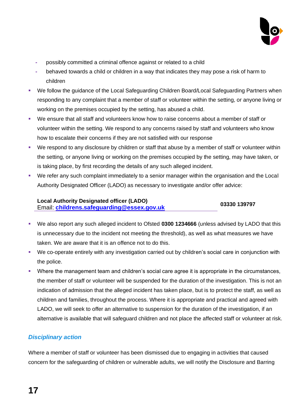

- **-** possibly committed a criminal offence against or related to a child
- **-** behaved towards a child or children in a way that indicates they may pose a risk of harm to children
- We follow the guidance of the Local Safeguarding Children Board/Local Safeguarding Partners when responding to any complaint that a member of staff or volunteer within the setting, or anyone living or working on the premises occupied by the setting, has abused a child.
- We ensure that all staff and volunteers know how to raise concerns about a member of staff or volunteer within the setting. We respond to any concerns raised by staff and volunteers who know how to escalate their concerns if they are not satisfied with our response
- We respond to any disclosure by children or staff that abuse by a member of staff or volunteer within the setting, or anyone living or working on the premises occupied by the setting, may have taken, or is taking place, by first recording the details of any such alleged incident.
- We refer any such complaint immediately to a senior manager within the organisation and the Local Authority Designated Officer (LADO) as necessary to investigate and/or offer advice:

#### **Local Authority Designated officer (LADO)** Email: **[childrens.safeguarding@essex.gov.uk](mailto:childrens.safeguarding@essex.gov.uk) 03330 139797**

- We also report any such alleged incident to Ofsted **0300 1234666** (unless advised by LADO that this is unnecessary due to the incident not meeting the threshold), as well as what measures we have taken. We are aware that it is an offence not to do this.
- We co-operate entirely with any investigation carried out by children's social care in conjunction with the police.
- Where the management team and children's social care agree it is appropriate in the circumstances, the member of staff or volunteer will be suspended for the duration of the investigation. This is not an indication of admission that the alleged incident has taken place, but is to protect the staff, as well as children and families, throughout the process. Where it is appropriate and practical and agreed with LADO, we will seek to offer an alternative to suspension for the duration of the investigation, if an alternative is available that will safeguard children and not place the affected staff or volunteer at risk.

# *Disciplinary action*

Where a member of staff or volunteer has been dismissed due to engaging in activities that caused concern for the safeguarding of children or vulnerable adults, we will notify the Disclosure and Barring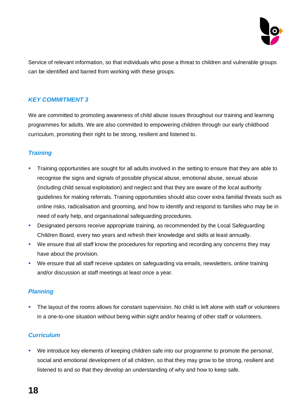

Service of relevant information, so that individuals who pose a threat to children and vulnerable groups can be identified and barred from working with these groups.

#### *KEY COMMITMENT 3*

We are committed to promoting awareness of child abuse issues throughout our training and learning programmes for adults. We are also committed to empowering children through our early childhood curriculum, promoting their right to be strong, resilient and listened to.

#### *Training*

- **•** Training opportunities are sought for all adults involved in the setting to ensure that they are able to recognise the signs and signals of possible physical abuse, emotional abuse, sexual abuse (including child sexual exploitation) and neglect and that they are aware of the local authority guidelines for making referrals. Training opportunities should also cover extra familial threats such as online risks, radicalisation and grooming, and how to identify and respond to families who may be in need of early help, and organisational safeguarding procedures.
- **Designated persons receive appropriate training, as recommended by the Local Safeguarding** Children Board, every two years and refresh their knowledge and skills at least annually.
- We ensure that all staff know the procedures for reporting and recording any concerns they may have about the provision.
- We ensure that all staff receive updates on safeguarding via emails, newsletters, online training and/or discussion at staff meetings at least once a year.

#### *Planning*

**•** The layout of the rooms allows for constant supervision. No child is left alone with staff or volunteers in a one-to-one situation without being within sight and/or hearing of other staff or volunteers.

#### *Curriculum*

▪ We introduce key elements of keeping children safe into our programme to promote the personal, social and emotional development of all children, so that they may grow to be strong, resilient and listened to and so that they develop an understanding of why and how to keep safe.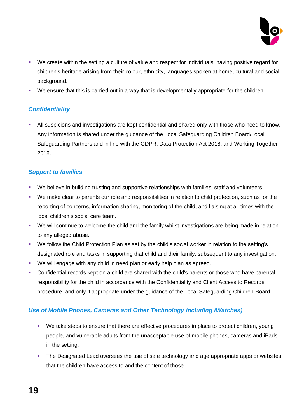

- We create within the setting a culture of value and respect for individuals, having positive regard for children's heritage arising from their colour, ethnicity, languages spoken at home, cultural and social background.
- We ensure that this is carried out in a way that is developmentally appropriate for the children.

#### *Confidentiality*

**E** All suspicions and investigations are kept confidential and shared only with those who need to know. Any information is shared under the guidance of the Local Safeguarding Children Board/Local Safeguarding Partners and in line with the GDPR, Data Protection Act 2018, and Working Together 2018.

#### *Support to families*

- We believe in building trusting and supportive relationships with families, staff and volunteers.
- We make clear to parents our role and responsibilities in relation to child protection, such as for the reporting of concerns, information sharing, monitoring of the child, and liaising at all times with the local children's social care team.
- We will continue to welcome the child and the family whilst investigations are being made in relation to any alleged abuse.
- We follow the Child Protection Plan as set by the child's social worker in relation to the setting's designated role and tasks in supporting that child and their family, subsequent to any investigation.
- We will engage with any child in need plan or early help plan as agreed.
- **•** Confidential records kept on a child are shared with the child's parents or those who have parental responsibility for the child in accordance with the Confidentiality and Client Access to Records procedure, and only if appropriate under the guidance of the Local Safeguarding Children Board.

# *Use of Mobile Phones, Cameras and Other Technology including iWatches)*

- We take steps to ensure that there are effective procedures in place to protect children, young people, and vulnerable adults from the unacceptable use of mobile phones, cameras and iPads in the setting.
- **•** The Designated Lead oversees the use of safe technology and age appropriate apps or websites that the children have access to and the content of those.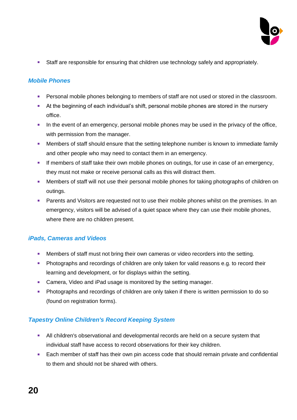

■ Staff are responsible for ensuring that children use technology safely and appropriately.

#### *Mobile Phones*

- **Personal mobile phones belonging to members of staff are not used or stored in the classroom.**
- **EXT** At the beginning of each individual's shift, personal mobile phones are stored in the nursery office.
- **■** In the event of an emergency, personal mobile phones may be used in the privacy of the office, with permission from the manager.
- **■** Members of staff should ensure that the setting telephone number is known to immediate family and other people who may need to contact them in an emergency.
- **■** If members of staff take their own mobile phones on outings, for use in case of an emergency, they must not make or receive personal calls as this will distract them.
- **■** Members of staff will not use their personal mobile phones for taking photographs of children on outings.
- **EXECT** Parents and Visitors are requested not to use their mobile phones whilst on the premises. In an emergency, visitors will be advised of a quiet space where they can use their mobile phones, where there are no children present.

#### *iPads, Cameras and Videos*

- **Members of staff must not bring their own cameras or video recorders into the setting.**
- **Photographs and recordings of children are only taken for valid reasons e.g. to record their** learning and development, or for displays within the setting.
- Camera, Video and iPad usage is monitored by the setting manager.
- **•** Photographs and recordings of children are only taken if there is written permission to do so (found on registration forms).

# *Tapestry Online Children's Record Keeping System*

- **EXECT** All children's observational and developmental records are held on a secure system that individual staff have access to record observations for their key children.
- Each member of staff has their own pin access code that should remain private and confidential to them and should not be shared with others.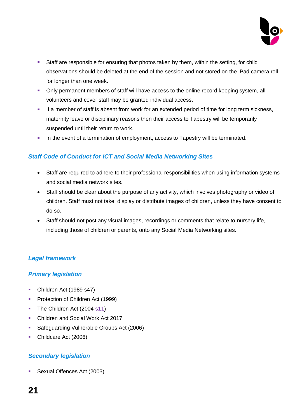

- Staff are responsible for ensuring that photos taken by them, within the setting, for child observations should be deleted at the end of the session and not stored on the iPad camera roll for longer than one week.
- **Only permanent members of staff will have access to the online record keeping system, all** volunteers and cover staff may be granted individual access.
- **■** If a member of staff is absent from work for an extended period of time for long term sickness, maternity leave or disciplinary reasons then their access to Tapestry will be temporarily suspended until their return to work.
- **•** In the event of a termination of employment, access to Tapestry will be terminated.

# *Staff Code of Conduct for ICT and Social Media Networking Sites*

- Staff are required to adhere to their professional responsibilities when using information systems and social media network sites.
- Staff should be clear about the purpose of any activity, which involves photography or video of children. Staff must not take, display or distribute images of children, unless they have consent to do so.
- Staff should not post any visual images, recordings or comments that relate to nursery life, including those of children or parents, onto any Social Media Networking sites.

# *Legal framework*

#### *Primary legislation*

- Children Act (1989 s47)
- **Protection of Children Act (1999)**
- The Children Act (2004 s11)
- Children and Social Work Act 2017
- Safeguarding Vulnerable Groups Act (2006)
- Childcare Act (2006)

# *Secondary legislation*

**•** Sexual Offences Act (2003)